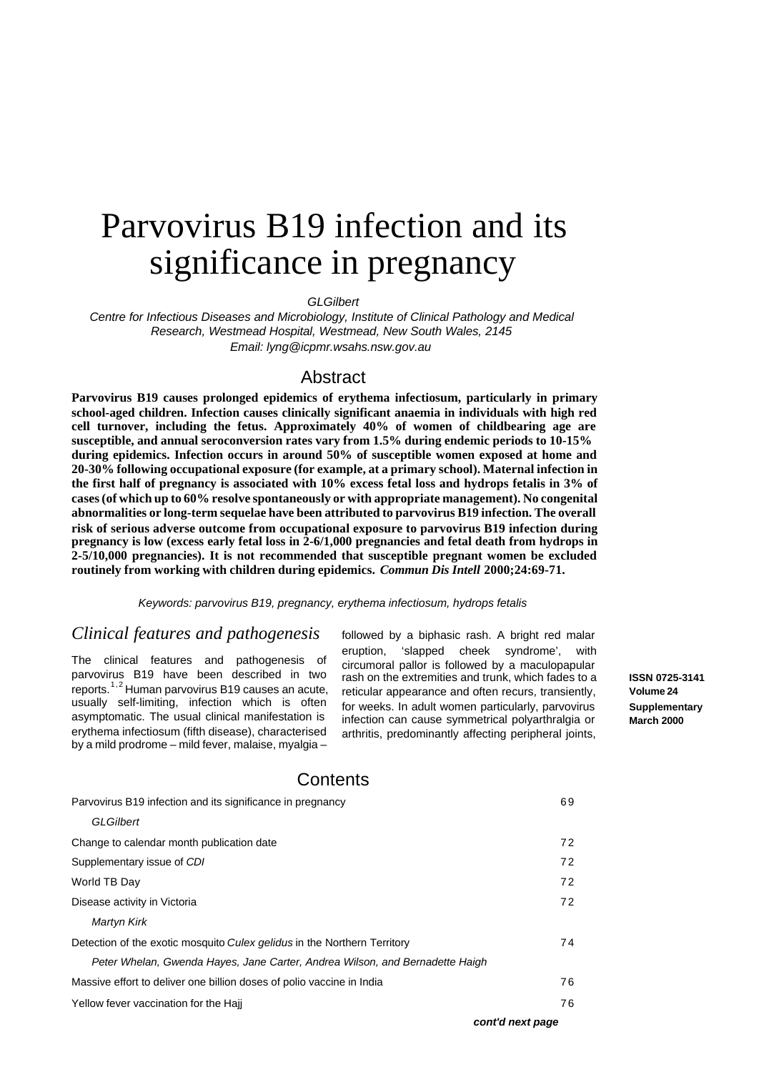# Parvovirus B19 infection and its significance in pregnancy

*GLGilbert*

*Centre for Infectious Diseases and Microbiology, Institute of Clinical Pathology and Medical Research, Westmead Hospital, Westmead, New South Wales, 2145 Email: lyng@icpmr.wsahs.nsw.gov.au* 

### Abstract

**Parvovirus B19 causes prolonged epidemics of erythema infectiosum, particularly in primary school-aged children. Infection causes clinically significant anaemia in individuals with high red cell turnover, including the fetus. Approximately 40% of women of childbearing age are susceptible, and annual seroconversion rates vary from 1.5% during endemic periods to 10-15% during epidemics. Infection occurs in around 50% of susceptible women exposed at home and 20-30% following occupational exposure (for example, at a primary school). Maternal infection in the first half of pregnancy is associated with 10% excess fetal loss and hydrops fetalis in 3% of cases (of which up to 60% resolve spontaneously or with appropriate management). No congenital abnormalities or long-term sequelae have been attributed to parvovirus B19 infection. The overall risk of serious adverse outcome from occupational exposure to parvovirus B19 infection during pregnancy is low (excess early fetal loss in 2-6/1,000 pregnancies and fetal death from hydrops in 2-5/10,000 pregnancies). It is not recommended that susceptible pregnant women be excluded routinely from working with children during epidemics.** *Commun Dis Intell* **2000;24:69-71.**

*Keywords: parvovirus B19, pregnancy, erythema infectiosum, hydrops fetalis* 

# *Clinical features and pathogenesis*

The clinical features and pathogenesis of parvovirus B19 have been described in two reports. $1,2$  Human parvovirus B19 causes an acute, usually self-limiting, infection which is often asymptomatic. The usual clinical manifestation is erythema infectiosum (fifth disease), characterised by a mild prodrome – mild fever, malaise, myalgia –

followed by a biphasic rash. A bright red malar eruption, 'slapped cheek syndrome', with circumoral pallor is followed by a maculopapular rash on the extremities and trunk, which fades to a reticular appearance and often recurs, transiently, for weeks. In adult women particularly, parvovirus infection can cause symmetrical polyarthralgia or arthritis, predominantly affecting peripheral joints,

**ISSN 0725-3141 Volume 24 Supplementary March 2000**

# **Contents**

| Parvovirus B19 infection and its significance in pregnancy                   | 69 |
|------------------------------------------------------------------------------|----|
| <b>GLGilbert</b>                                                             |    |
| Change to calendar month publication date                                    | 72 |
| Supplementary issue of CDI                                                   | 72 |
| World TB Day                                                                 | 72 |
| Disease activity in Victoria                                                 | 72 |
| <b>Martyn Kirk</b>                                                           |    |
| Detection of the exotic mosquito Culex gelidus in the Northern Territory     | 74 |
| Peter Whelan, Gwenda Hayes, Jane Carter, Andrea Wilson, and Bernadette Haigh |    |
| Massive effort to deliver one billion doses of polio vaccine in India        | 76 |
| Yellow fever vaccination for the Hajj                                        | 76 |
|                                                                              |    |

*cont'd next page*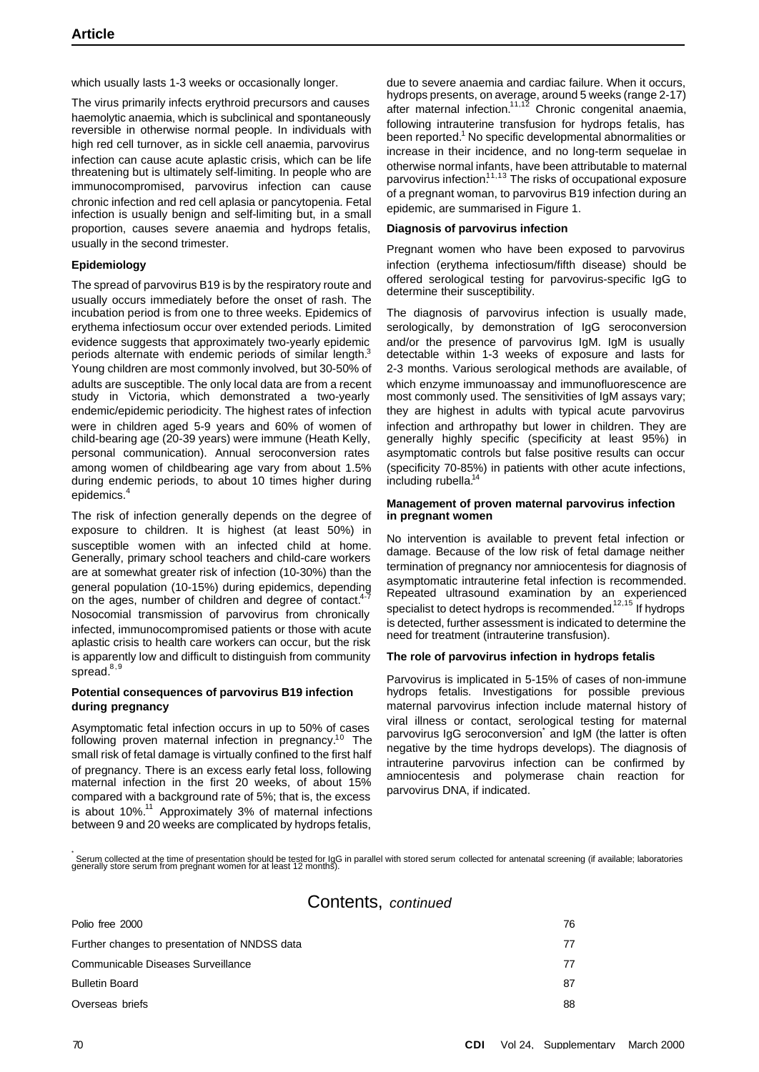which usually lasts 1-3 weeks or occasionally longer.

The virus primarily infects erythroid precursors and causes haemolytic anaemia, which is subclinical and spontaneously reversible in otherwise normal people. In individuals with high red cell turnover, as in sickle cell anaemia, parvovirus infection can cause acute aplastic crisis, which can be life threatening but is ultimately self-limiting. In people who are immunocompromised, parvovirus infection can cause chronic infection and red cell aplasia or pancytopenia. Fetal infection is usually benign and self-limiting but, in a small proportion, causes severe anaemia and hydrops fetalis, usually in the second trimester.

#### **Epidemiology**

The spread of parvovirus B19 is by the respiratory route and usually occurs immediately before the onset of rash. The incubation period is from one to three weeks. Epidemics of erythema infectiosum occur over extended periods. Limited evidence suggests that approximately two-yearly epidemic periods alternate with endemic periods of similar length.<sup>3</sup> Young children are most commonly involved, but 30-50% of adults are susceptible. The only local data are from a recent study in Victoria, which demonstrated a two-yearly endemic/epidemic periodicity. The highest rates of infection were in children aged 5-9 years and 60% of women of child-bearing age (20-39 years) were immune (Heath Kelly, personal communication). Annual seroconversion rates among women of childbearing age vary from about 1.5% during endemic periods, to about 10 times higher during epidemics.<sup>4</sup>

The risk of infection generally depends on the degree of exposure to children. It is highest (at least 50%) in susceptible women with an infected child at home. Generally, primary school teachers and child-care workers are at somewhat greater risk of infection (10-30%) than the general population (10-15%) during epidemics, depending on the ages, number of children and degree of contact.<sup>4</sup> Nosocomial transmission of parvovirus from chronically infected, immunocompromised patients or those with acute aplastic crisis to health care workers can occur, but the risk is apparently low and difficult to distinguish from community spread.<sup>8,9</sup>

#### **Potential consequences of parvovirus B19 infection during pregnancy**

Asymptomatic fetal infection occurs in up to 50% of cases following proven maternal infection in pregnancy.<sup>10</sup> The small risk of fetal damage is virtually confined to the first half of pregnancy. There is an excess early fetal loss, following maternal infection in the first 20 weeks, of about 15% compared with a background rate of 5%; that is, the excess is about 10%.<sup>11</sup> Approximately 3% of maternal infections between 9 and 20 weeks are complicated by hydrops fetalis,

due to severe anaemia and cardiac failure. When it occurs, hydrops presents, on average, around 5 weeks (range 2-17) after maternal infection.<sup>11,12</sup> Chronic congenital anaemia, following intrauterine transfusion for hydrops fetalis, has been reported.<sup>1</sup> No specific developmental abnormalities or increase in their incidence, and no long-term sequelae in otherwise normal infants, have been attributable to maternal parvovirus infection.<sup>11,13</sup> The risks of occupational exposure of a pregnant woman, to parvovirus B19 infection during an epidemic, are summarised in Figure 1.

#### **Diagnosis of parvovirus infection**

Pregnant women who have been exposed to parvovirus infection (erythema infectiosum/fifth disease) should be offered serological testing for parvovirus-specific IgG to determine their susceptibility.

The diagnosis of parvovirus infection is usually made, serologically, by demonstration of IgG seroconversion and/or the presence of parvovirus IgM. IgM is usually detectable within 1-3 weeks of exposure and lasts for 2-3 months. Various serological methods are available, of which enzyme immunoassay and immunofluorescence are most commonly used. The sensitivities of IgM assays vary; they are highest in adults with typical acute parvovirus infection and arthropathy but lower in children. They are generally highly specific (specificity at least 95%) in asymptomatic controls but false positive results can occur (specificity 70-85%) in patients with other acute infections, including rubella.<sup>14</sup>

#### **Management of proven maternal parvovirus infection in pregnant women**

No intervention is available to prevent fetal infection or damage. Because of the low risk of fetal damage neither termination of pregnancy nor amniocentesis for diagnosis of asymptomatic intrauterine fetal infection is recommended. Repeated ultrasound examination by an experienced specialist to detect hydrops is recommended.<sup>12,15</sup> If hydrops is detected, further assessment is indicated to determine the need for treatment (intrauterine transfusion).

#### **The role of parvovirus infection in hydrops fetalis**

Parvovirus is implicated in 5-15% of cases of non-immune hydrops fetalis. Investigations for possible previous maternal parvovirus infection include maternal history of viral illness or contact, serological testing for maternal parvovirus IgG seroconversion and IgM (the latter is often negative by the time hydrops develops). The diagnosis of intrauterine parvovirus infection can be confirmed by amniocentesis and polymerase chain reaction for parvovirus DNA, if indicated.

.<br>Serum collected at the time of presentation should be tested for IgG in parallel with stored serum collected for antenatal screening (if available; laboratories<br>generally store serum from pregnant women for at least 12 m

# Contents, *continued*

| Polio free 2000                               | 76 |
|-----------------------------------------------|----|
| Further changes to presentation of NNDSS data | 77 |
| Communicable Diseases Surveillance            | 77 |
| <b>Bulletin Board</b>                         | 87 |
| Overseas briefs                               | 88 |
|                                               |    |